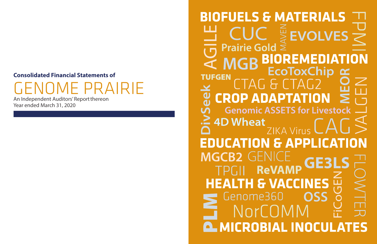# **Consolidated Financial Statements of**

GENOME PRAIRIE

An Independent Auditors' Report thereon Year ended March 31, 2020

**BIO** ELS & MATER  $\Xi$ **Prairie Gold**  $\geq$ **EcoToxC** hip <u>cc</u> **TUFGEN**  $\mathbf{\hat{Q}}$ qR ivS **Genomic ASSETS for Livestock 4D Wheat ZIKA Virus** Ы ION **& APP**  $\boldsymbol{L}$ Д **ReVAMP** Ш ES Е **OSS** Gen 60  $\Box$ iГ  $\overline{\mathcal{X}}$ **Q.MICROBIAL INO** ES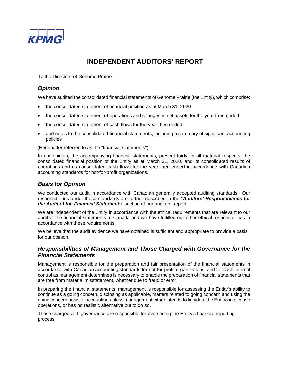

### **INDEPENDENT AUDITORS' REPORT**

To the Directors of Genome Prairie

#### *Opinion*

We have audited the consolidated financial statements of Genome Prairie (the Entity), which comprise:

- the consolidated statement of financial position as at March 31, 2020
- the consolidated statement of operations and changes in net assets for the year then ended
- the consolidated statement of cash flows for the year then ended
- and notes to the consolidated financial statements, including a summary of significant accounting policies

(Hereinafter referred to as the "financial statements").

In our opinion, the accompanying financial statements, present fairly, in all material respects, the consolidated financial position of the Entity as at March 31, 2020, and its consolidated results of operations and its consolidated cash flows for the year then ended in accordance with Canadian accounting standards for not-for-profit organizations.

#### *Basis for Opinion*

We conducted our audit in accordance with Canadian generally accepted auditing standards. Our responsibilities under those standards are further described in the "*Auditors' Responsibilities for the Audit of the Financial Statements*" section of our auditors' report.

We are independent of the Entity in accordance with the ethical requirements that are relevant to our audit of the financial statements in Canada and we have fulfilled our other ethical responsibilities in accordance with these requirements.

We believe that the audit evidence we have obtained is sufficient and appropriate to provide a basis for our opinion.

#### *Responsibilities of Management and Those Charged with Governance for the Financial Statements*

Management is responsible for the preparation and fair presentation of the financial statements in accordance with Canadian accounting standards for not-for-profit organizations, and for such internal control as management determines is necessary to enable the preparation of financial statements that are free from material misstatement, whether due to fraud or error.

In preparing the financial statements, management is responsible for assessing the Entity's ability to continue as a going concern, disclosing as applicable, matters related to going concern and using the going concern basis of accounting unless management either intends to liquidate the Entity or to cease operations, or has no realistic alternative but to do so.

Those charged with governance are responsible for overseeing the Entity's financial reporting process.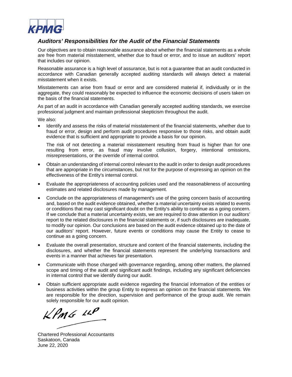

#### *Auditors' Responsibilities for the Audit of the Financial Statements*

Our objectives are to obtain reasonable assurance about whether the financial statements as a whole are free from material misstatement, whether due to fraud or error, and to issue an auditors' report that includes our opinion.

Reasonable assurance is a high level of assurance, but is not a guarantee that an audit conducted in accordance with Canadian generally accepted auditing standards will always detect a material misstatement when it exists.

Misstatements can arise from fraud or error and are considered material if, individually or in the aggregate, they could reasonably be expected to influence the economic decisions of users taken on the basis of the financial statements.

As part of an audit in accordance with Canadian generally accepted auditing standards, we exercise professional judgment and maintain professional skepticism throughout the audit.

We also:

 Identify and assess the risks of material misstatement of the financial statements, whether due to fraud or error, design and perform audit procedures responsive to those risks, and obtain audit evidence that is sufficient and appropriate to provide a basis for our opinion.

The risk of not detecting a material misstatement resulting from fraud is higher than for one resulting from error, as fraud may involve collusion, forgery, intentional omissions, misrepresentations, or the override of internal control.

- Obtain an understanding of internal control relevant to the audit in order to design audit procedures that are appropriate in the circumstances, but not for the purpose of expressing an opinion on the effectiveness of the Entity's internal control.
- Evaluate the appropriateness of accounting policies used and the reasonableness of accounting estimates and related disclosures made by management.
- Conclude on the appropriateness of management's use of the going concern basis of accounting and, based on the audit evidence obtained, whether a material uncertainty exists related to events or conditions that may cast significant doubt on the Entity's ability to continue as a going concern. If we conclude that a material uncertainty exists, we are required to draw attention in our auditors' report to the related disclosures in the financial statements or, if such disclosures are inadequate, to modify our opinion. Our conclusions are based on the audit evidence obtained up to the date of our auditors' report. However, future events or conditions may cause the Entity to cease to continue as a going concern.
- Evaluate the overall presentation, structure and content of the financial statements, including the disclosures, and whether the financial statements represent the underlying transactions and events in a manner that achieves fair presentation.
- Communicate with those charged with governance regarding, among other matters, the planned scope and timing of the audit and significant audit findings, including any significant deficiencies in internal control that we identify during our audit.
- Obtain sufficient appropriate audit evidence regarding the financial information of the entities or business activities within the group Entity to express an opinion on the financial statements. We are responsible for the direction, supervision and performance of the group audit. We remain solely responsible for our audit opinion.

 $KPMG$  14P

Chartered Professional Accountants Saskatoon, Canada June 22, 2020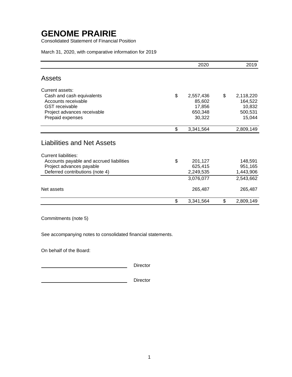Consolidated Statement of Financial Position

March 31, 2020, with comparative information for 2019

|                                          | 2020            | 2019            |
|------------------------------------------|-----------------|-----------------|
| <b>Assets</b>                            |                 |                 |
| Current assets:                          |                 |                 |
| Cash and cash equivalents                | \$<br>2,557,436 | \$<br>2,118,220 |
| Accounts receivable                      | 85,602          | 164,522         |
| <b>GST</b> receivable                    | 17,856          | 10,832          |
| Project advances receivable              | 650,348         | 500,531         |
| Prepaid expenses                         | 30,322          | 15,044          |
|                                          | \$<br>3,341,564 | 2,809,149       |
| <b>Liabilities and Net Assets</b>        |                 |                 |
| <b>Current liabilities:</b>              |                 |                 |
| Accounts payable and accrued liabilities | \$<br>201,127   | 148,591         |
| Project advances payable                 | 625,415         | 951,165         |
| Deferred contributions (note 4)          | 2,249,535       | 1,443,906       |
|                                          | 3,076,077       | 2,543,662       |
| Net assets                               | 265,487         | 265,487         |
|                                          | \$<br>3,341,564 | \$<br>2,809,149 |

Commitments (note 5)

See accompanying notes to consolidated financial statements.

On behalf of the Board:

**Director Director** 

**Director** Director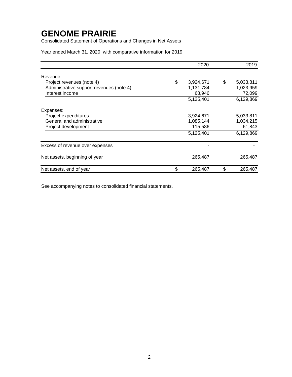Consolidated Statement of Operations and Changes in Net Assets

Year ended March 31, 2020, with comparative information for 2019

|                                          |    | 2020      | 2019            |
|------------------------------------------|----|-----------|-----------------|
| Revenue:                                 |    |           |                 |
| Project revenues (note 4)                | \$ | 3,924,671 | \$<br>5,033,811 |
| Administrative support revenues (note 4) |    | 1,131,784 | 1,023,959       |
| Interest income                          |    | 68,946    | 72,099          |
|                                          |    | 5,125,401 | 6,129,869       |
| Expenses:                                |    |           |                 |
| Project expenditures                     |    | 3,924,671 | 5,033,811       |
| General and administrative               |    | 1,034,215 |                 |
| Project development                      |    | 115,586   | 61,843          |
|                                          |    | 5,125,401 | 6,129,869       |
| Excess of revenue over expenses          |    |           |                 |
| Net assets, beginning of year            |    | 265,487   | 265,487         |
| Net assets, end of year                  | \$ | 265,487   | \$<br>265,487   |

See accompanying notes to consolidated financial statements.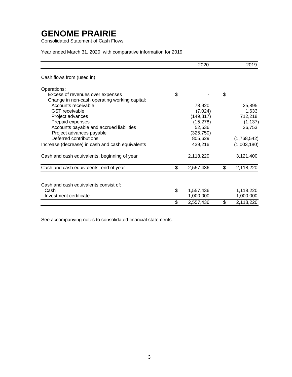Consolidated Statement of Cash Flows

Year ended March 31, 2020, with comparative information for 2019

|                                                  |        | 2020       |    |             |
|--------------------------------------------------|--------|------------|----|-------------|
| Cash flows from (used in):                       |        |            |    |             |
| Operations:                                      |        |            |    |             |
| Excess of revenues over expenses                 | \$     |            | \$ |             |
| Change in non-cash operating working capital:    |        |            |    |             |
| Accounts receivable                              | 78,920 |            |    |             |
| <b>GST</b> receivable                            |        | 1,633      |    |             |
| Project advances                                 |        | (149, 817) |    | 712,218     |
| Prepaid expenses                                 |        | (15, 278)  |    | (1, 137)    |
| Accounts payable and accrued liabilities         |        | 52,536     |    | 26,753      |
| Project advances payable                         |        | (325, 750) |    |             |
| Deferred contributions                           |        | 805,629    |    | (1,768,542) |
| Increase (decrease) in cash and cash equivalents |        | 439,216    |    | (1,003,180) |
| Cash and cash equivalents, beginning of year     |        | 2,118,220  |    | 3,121,400   |
| Cash and cash equivalents, end of year           | \$     | 2,557,436  | \$ | 2,118,220   |
|                                                  |        |            |    |             |
| Cash and cash equivalents consist of:            |        |            |    |             |
| Cash                                             | \$     | 1,557,436  |    | 1,118,220   |
| Investment certificate                           |        | 1,000,000  |    | 1,000,000   |
|                                                  | \$     | 2,557,436  | \$ | 2,118,220   |

See accompanying notes to consolidated financial statements.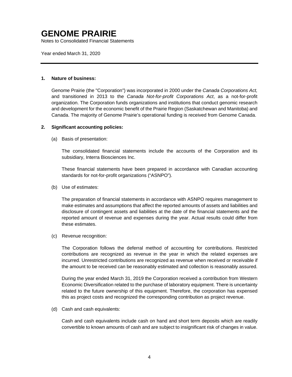Notes to Consolidated Financial Statements

Year ended March 31, 2020

#### **1. Nature of business:**

Genome Prairie (the "Corporation") was incorporated in 2000 under the *Canada Corporations Act,* and transitioned in 2013 to the *Canada Not-for-profit Corporations Act*, as a not-for-profit organization. The Corporation funds organizations and institutions that conduct genomic research and development for the economic benefit of the Prairie Region (Saskatchewan and Manitoba) and Canada. The majority of Genome Prairie's operational funding is received from Genome Canada.

#### **2. Significant accounting policies:**

(a) Basis of presentation:

The consolidated financial statements include the accounts of the Corporation and its subsidiary, Interra Biosciences Inc.

These financial statements have been prepared in accordance with Canadian accounting standards for not-for-profit organizations ("ASNPO").

(b) Use of estimates:

The preparation of financial statements in accordance with ASNPO requires management to make estimates and assumptions that affect the reported amounts of assets and liabilities and disclosure of contingent assets and liabilities at the date of the financial statements and the reported amount of revenue and expenses during the year. Actual results could differ from these estimates.

(c) Revenue recognition:

The Corporation follows the deferral method of accounting for contributions. Restricted contributions are recognized as revenue in the year in which the related expenses are incurred. Unrestricted contributions are recognized as revenue when received or receivable if the amount to be received can be reasonably estimated and collection is reasonably assured.

During the year ended March 31, 2019 the Corporation received a contribution from Western Economic Diversification related to the purchase of laboratory equipment. There is uncertainty related to the future ownership of this equipment. Therefore, the corporation has expensed this as project costs and recognized the corresponding contribution as project revenue.

(d) Cash and cash equivalents:

Cash and cash equivalents include cash on hand and short term deposits which are readily convertible to known amounts of cash and are subject to insignificant risk of changes in value.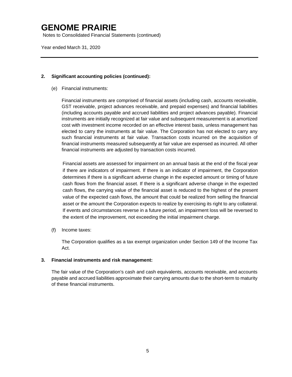Notes to Consolidated Financial Statements (continued)

Year ended March 31, 2020

#### **2. Significant accounting policies (continued):**

(e) Financial instruments:

Financial instruments are comprised of financial assets (including cash, accounts receivable, GST receivable, project advances receivable, and prepaid expenses) and financial liabilities (including accounts payable and accrued liabilities and project advances payable). Financial instruments are initially recognized at fair value and subsequent measurement is at amortized cost with investment income recorded on an effective interest basis, unless management has elected to carry the instruments at fair value. The Corporation has not elected to carry any such financial instruments at fair value. Transaction costs incurred on the acquisition of financial instruments measured subsequently at fair value are expensed as incurred. All other financial instruments are adjusted by transaction costs incurred.

Financial assets are assessed for impairment on an annual basis at the end of the fiscal year if there are indicators of impairment. If there is an indicator of impairment, the Corporation determines if there is a significant adverse change in the expected amount or timing of future cash flows from the financial asset. If there is a significant adverse change in the expected cash flows, the carrying value of the financial asset is reduced to the highest of the present value of the expected cash flows, the amount that could be realized from selling the financial asset or the amount the Corporation expects to realize by exercising its right to any collateral. If events and circumstances reverse in a future period, an impairment loss will be reversed to the extent of the improvement, not exceeding the initial impairment charge.

(f) Income taxes:

The Corporation qualifies as a tax exempt organization under Section 149 of the Income Tax Act.

#### **3. Financial instruments and risk management:**

The fair value of the Corporation's cash and cash equivalents, accounts receivable, and accounts payable and accrued liabilities approximate their carrying amounts due to the short-term to maturity of these financial instruments.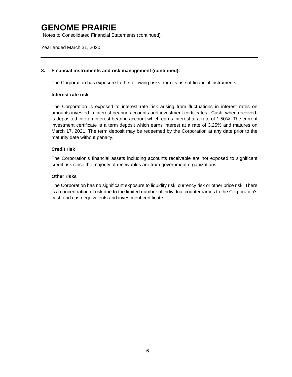Notes to Consolidated Financial Statements (continued)

Year ended March 31, 2020

#### **3. Financial instruments and risk management (continued):**

The Corporation has exposure to the following risks from its use of financial instruments:

#### **Interest rate risk**

The Corporation is exposed to interest rate risk arising from fluctuations in interest rates on amounts invested in interest bearing accounts and investment certificates. Cash, when received, is deposited into an interest bearing account which earns interest at a rate of 1.50%. The current investment certificate is a term deposit which earns interest at a rate of 3.25% and matures on March 17, 2021. The term deposit may be redeemed by the Corporation at any date prior to the maturity date without penalty.

#### **Credit risk**

The Corporation's financial assets including accounts receivable are not exposed to significant credit risk since the majority of receivables are from government organizations.

#### **Other risks**

The Corporation has no significant exposure to liquidity risk, currency risk or other price risk. There is a concentration of risk due to the limited number of individual counterparties to the Corporation's cash and cash equivalents and investment certificate.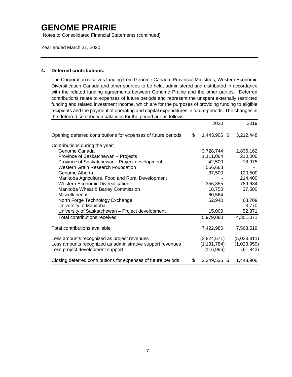Notes to Consolidated Financial Statements (continued)

Year ended March 31, 2020

#### **4. Deferred contributions:**

The Corporation receives funding from Genome Canada, Provincial Ministries, Western Economic Diversification Canada and other sources to be held, administered and distributed in accordance with the related funding agreements between Genome Prairie and the other parties. Deferred contributions relate to expenses of future periods and represent the unspent externally restricted funding and related investment income, which are for the purposes of providing funding to eligible recipients and the payment of operating and capital expenditures in future periods. The changes in the deferred contribution balances for the period are as follows:

|                                                               | 2020               | 2019            |
|---------------------------------------------------------------|--------------------|-----------------|
| Opening deferred contributions for expenses of future periods | \$<br>1,443,906 \$ | 3,212,448       |
| Contributions during the year:                                |                    |                 |
| Genome Canada                                                 | 3,728,744          | 2,835,162       |
| Province of Saskatchewan - Projects                           | 1,111,064          | 210,000         |
| Province of Saskatchewan - Project development                | 42,500             | 18,975          |
| Western Grain Research Foundation                             | 556,663            |                 |
| Genome Alberta                                                | 37,500             | 120,500         |
| Manitoba Agriculture, Food and Rural Development              |                    | 214,400         |
| <b>Western Economic Diversification</b>                       | 355,355            | 789,684         |
| Manitoba Wheat & Barley Commission                            | 18,750             | 37,500          |
| Miscellaneous                                                 | 60,564             |                 |
| North Forge Technology Exchange                               | 52,940             | 68,709          |
| University of Manitoba                                        |                    | 3,770           |
| University of Saskatchewan - Project development              | 15,000             | 52,371          |
| Total contributions received                                  | 5,979,080          | 4,351,071       |
| Total contributions available                                 | 7,422,986          | 7,563,519       |
| Less amounts recognized as project revenues                   | (3,924,671)        | (5,033,811)     |
| Less amounts recognized as administrative support revenues    | (1, 131, 784)      | (1,023,959)     |
| Less project development support                              | (116,996)          | (61, 843)       |
| Closing deferred contributions for expenses of future periods | \$<br>2,249,535    | \$<br>1,443,906 |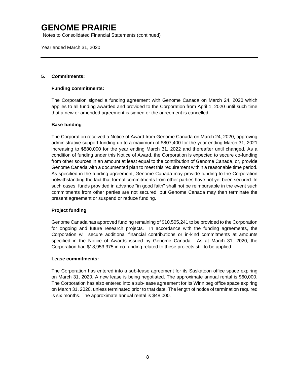Notes to Consolidated Financial Statements (continued)

Year ended March 31, 2020

#### **5. Commitments:**

#### **Funding commitments:**

The Corporation signed a funding agreement with Genome Canada on March 24, 2020 which applies to all funding awarded and provided to the Corporation from April 1, 2020 until such time that a new or amended agreement is signed or the agreement is cancelled.

#### **Base funding**

The Corporation received a Notice of Award from Genome Canada on March 24, 2020, approving administrative support funding up to a maximum of \$807,400 for the year ending March 31, 2021 increasing to \$880,000 for the year ending March 31, 2022 and thereafter until changed. As a condition of funding under this Notice of Award, the Corporation is expected to secure co-funding from other sources in an amount at least equal to the contribution of Genome Canada, or, provide Genome Canada with a documented plan to meet this requirement within a reasonable time period. As specified in the funding agreement, Genome Canada may provide funding to the Corporation notwithstanding the fact that formal commitments from other parties have not yet been secured. In such cases, funds provided in advance "in good faith" shall not be reimbursable in the event such commitments from other parties are not secured, but Genome Canada may then terminate the present agreement or suspend or reduce funding.

#### **Project funding**

Genome Canada has approved funding remaining of \$10,505,241 to be provided to the Corporation for ongoing and future research projects. In accordance with the funding agreements, the Corporation will secure additional financial contributions or in-kind commitments at amounts specified in the Notice of Awards issued by Genome Canada. As at March 31, 2020, the Corporation had \$18,953,375 in co-funding related to these projects still to be applied.

#### **Lease commitments:**

The Corporation has entered into a sub-lease agreement for its Saskatoon office space expiring on March 31, 2020. A new lease is being negotiated. The approximate annual rental is \$60,000. The Corporation has also entered into a sub-lease agreement for its Winnipeg office space expiring on March 31, 2020, unless terminated prior to that date. The length of notice of termination required is six months. The approximate annual rental is \$48,000.